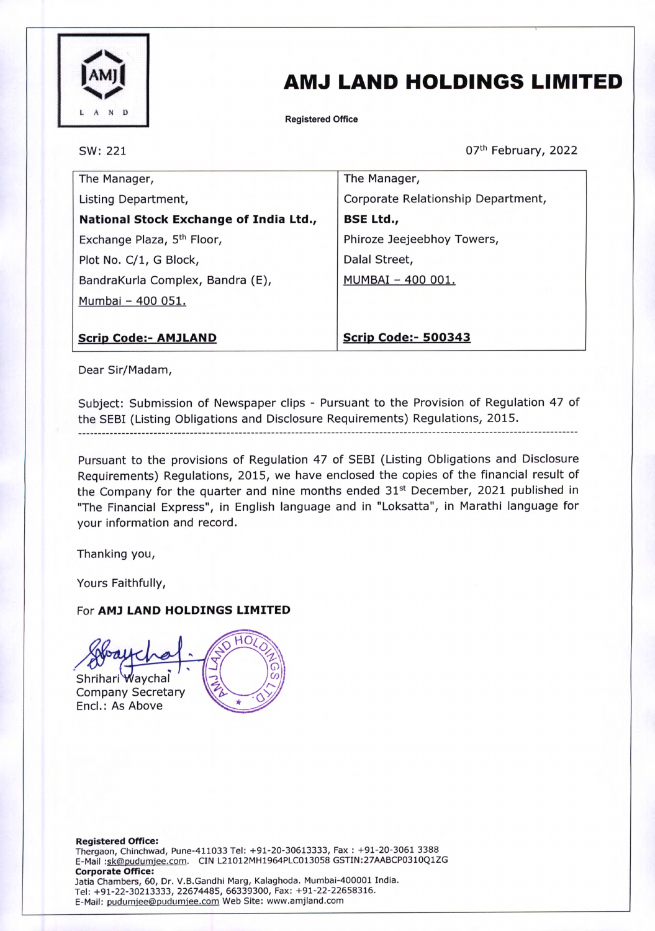

# AMJ LAND HOLDINGS LIMITED

Registered Office

SW: 221

07th February, 2022

| The Manager,                           | The Manager,                       |
|----------------------------------------|------------------------------------|
| Listing Department,                    | Corporate Relationship Department, |
| National Stock Exchange of India Ltd., | <b>BSE Ltd.,</b>                   |
| Exchange Plaza, 5 <sup>th</sup> Floor, | Phiroze Jeejeebhoy Towers,         |
| Plot No. C/1, G Block,                 | Dalal Street,                      |
| BandraKurla Complex, Bandra (E),       | MUMBAI - 400 001.                  |
| Mumbai - 400 051.                      |                                    |
|                                        |                                    |
| <b>Scrip Code:- AMJLAND</b>            | <b>Scrip Code:- 500343</b>         |

Dear Sir/Madam,

Subject: Submission of Newspaper clips - Pursuant to the Provision of Regulation 47 of the SEBI (Listing Obligations and Disclosure Requirements) Regulations, 2015.

Pursuant to the provisions of Regulation 47 of SEBI (Listing Obligations and Disclosure Requirements) Regulations, 2015, we have enclosed the copies of the financial result of the Company for the quarter and nine months ended 31<sup>st</sup> December, 2021 published in "The Financial Express", in English language and in "Loksatta", in Marathi language for your information and record.

Thanking you,

Yours Faithfully,

#### For AM) LAND HOLDINGS LIMITED

НΟ Shrihari Waychal Company Secretary Encl.: As Above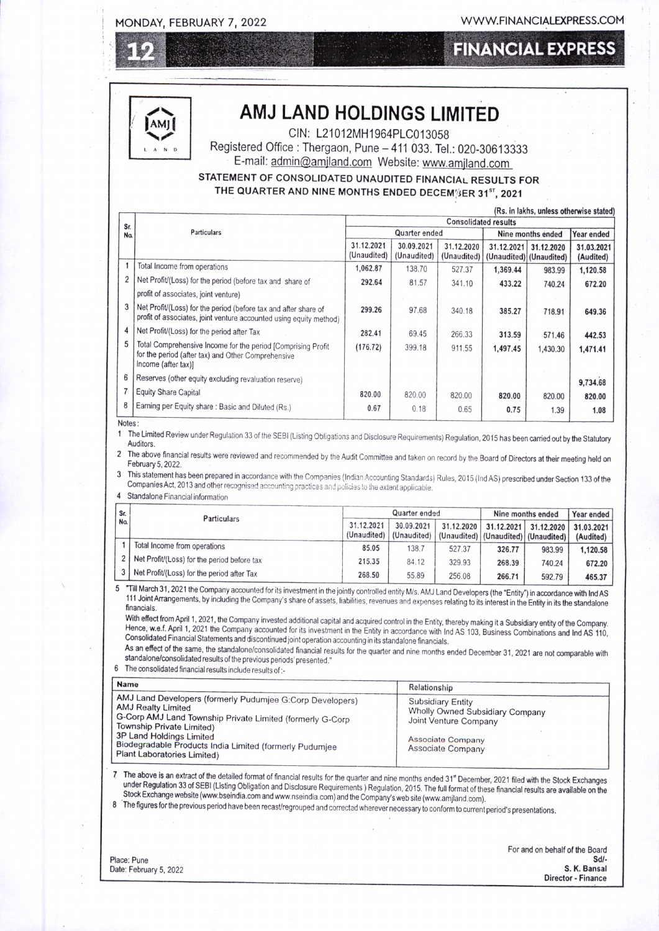### MONDAY, FEBRUARY 7, 2022 WWW.FINANCIALEXPRESS.COM

### **FINANCIAL EXPRESS**



## AMJ LAND HOLDINGS LIMITED

CIN: L21012MH1964PLC013058

Registered Office : Thergaon, Pune -411 033. Tel.: 020-30613333 E-mail: admin@amjland.com Website: www.amjland.com

### STATEMENT OF CONSOLIDATED UNAUDITED FINANCIAL RESULTS FOR THE QUARTER AND NINE MONTHS ENDED DECEM<sup>3</sup>ER 31<sup>st</sup>, 2021

|                  |                                                                                                                                           | (Rs. in lakhs, unless otherwise stated)<br><b>Consolidated results</b> |                           |                           |                                       |            |                         |  |
|------------------|-------------------------------------------------------------------------------------------------------------------------------------------|------------------------------------------------------------------------|---------------------------|---------------------------|---------------------------------------|------------|-------------------------|--|
| Sr.<br><b>Na</b> | <b>Particulars</b>                                                                                                                        | Quarter ended                                                          |                           |                           | Nine months ended                     |            | Year ended              |  |
|                  |                                                                                                                                           | 31.12.2021<br>(Unaudited)                                              | 30.09.2021<br>(Unaudited) | 31.12.2020<br>(Unaudited) | 31.12.2021<br>(Unaudited) (Unaudited) | 31.12.2020 | 31.03.2021<br>(Audited) |  |
|                  | Total Income from operations                                                                                                              | 1,062.87                                                               | 138.70                    | 527.37                    | 1,369.44                              | 983.99     | 1,120.58                |  |
|                  | Net Profit/(Loss) for the period (before tax and share of                                                                                 | 292.64                                                                 | 81.57                     | 341.10                    | 433.22                                | 740.24     | 672.20                  |  |
|                  | profit of associates, joint venture)                                                                                                      |                                                                        |                           |                           |                                       |            |                         |  |
|                  | Net Profit/(Loss) for the period (before tax and after share of<br>profit of associates, joint venture accounted using equity method)     | 299.26                                                                 | 97.68                     | 340.18                    | 385.27                                | 718.91     | 649.36                  |  |
| 4                | Net Profit/(Loss) for the period after Tax                                                                                                | 282.41                                                                 | 69.45                     | 266.33                    | 313.59                                | 571.46     | 442.53                  |  |
| 5                | Total Comprehensive Income for the period [Comprising Profit<br>for the period (after tax) and Other Comprehensive<br>Income (after tax)] | (176.72)                                                               | 399.18                    | 911.55                    | 1,497.45                              | 1,430.30   | 1,471.41                |  |
| 6                | Reserves (other equity excluding revaluation reserve)                                                                                     |                                                                        |                           |                           |                                       |            | 9,734.68                |  |
|                  | Equity Share Capital                                                                                                                      | 820.00                                                                 | 820.00                    | 820.00                    | 820.00                                | 820.00     | 820.00                  |  |
| 8                | Earning per Equity share: Basic and Diluted (Rs.)                                                                                         | 0.67                                                                   | 0.18                      | 0.65                      | 0.75                                  | 1.39       | 1.08                    |  |

Notes:

1 The Limited Review under Regulation 33 of the SEBI (Listing Obligations and Disclosure Requirements) Regulation, 2015 has been carried out by the Statutory Auditors.

The above financial results were reviewed and recommended by the Audit Committee and taken on record by the Board of Directors at their meeting held on February 5, 2022.

3 This statement has been prepared in accordance with the Companies (Indian Accounting Standards) Rules, 2015 (Ind AS) prescribed under Section 133 of the Companies Act, 2013 and other recognised accounting practices and p

4 Standalone Financial information

| Sr. |     | <b>Particulars</b>                          | Quarter ended             |                           |                                                         | Nine months ended | Year ended            |                         |
|-----|-----|---------------------------------------------|---------------------------|---------------------------|---------------------------------------------------------|-------------------|-----------------------|-------------------------|
|     | Na. |                                             | 31.12.2021<br>(Unaudited) | 30.09.2021<br>(Unaudited) | 31.12.2020<br>(Unaudited)   (Unaudited)   (Unaudited) / |                   | 31.12.2021 31.12.2020 | 31.03.2021<br>(Audited) |
|     |     | Total Income from operations                | 85.05                     | 138.7                     | 527.37                                                  | 326,77            | 983.99                | 1.120.58                |
|     |     | Net Profit/(Loss) for the period before tax | 215.35                    | 84.12                     | 329.93                                                  | 268.39            | 740.24                | 672.20                  |
|     |     | Net Profit/(Loss) for the period after Tax  | 268.50                    | 55.89                     | 256.08                                                  | 266.71            | 592.79                | 465.37                  |

5 "Till March 31, 2021 the Company accounted for its investment in the jointly controlled entity M/s. AMJ Land Developers (the "Entity") in accordance with Ind AS<br>111 Joint Arrangements, by including the Company's share of

Hence, w.e.f. April 1, 2021 the Company accounted for its investment in the Entity in accordance with Ind AS 103, Business Combinations and Ind AS 110, Consolidated Financial Statements and discontinued joint operation acc

As an effect of the same, the standalone/consolidated financial results for the quarter and nine months ended December 31, 2021 are not comparable with<br>standalone/consolidated results of the previous periods' presented."

6 The consolidated financial results include results of:-

| <b>Name</b>                                                                                                                                                                      | Relationship                                                                  |
|----------------------------------------------------------------------------------------------------------------------------------------------------------------------------------|-------------------------------------------------------------------------------|
| AMJ Land Developers (formerly Pudumjee G:Corp Developers)<br><b>AMJ Realty Limited</b><br>G-Corp AMJ Land Township Private Limited (formerly G-Corp<br>Township Private Limited) | Subsidiary Entity<br>Wholly Owned Subsidiary Company<br>Joint Venture Company |
| 3P Land Holdings Limited<br>Biodegradable Products India Limited (formerly Pudumjee<br><b>Plant Laboratories Limited)</b>                                                        | <b>Associate Company</b><br><b>Associate Company</b>                          |

7 The above is an extract of the detailed format of financial results for the quarter and nine months ended 31" December, 2021 filed with the Stock Exchanges<br>under Regulation 33 of SEBI (Listing Obligation and Disclosure R

8 The figures for the previous period have been recast/regrouped and corrected wherever necessary to conform to current period's presentations.

| Place: Pune            |  |
|------------------------|--|
| Date: February 5, 2022 |  |

For and on behalf of the Board Place: Pune Sdl-Date: February 5, 2022 S. K. Bansal Director - Finance